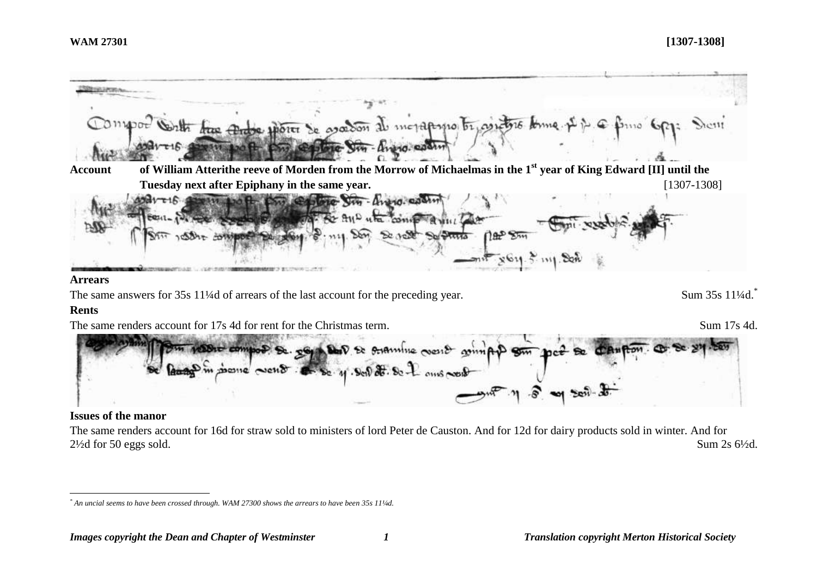

The same renders account for 16d for straw sold to ministers of lord Peter de Causton. And for 12d for dairy products sold in winter. And for 2½d for 50 eggs sold. Sum 2s 6½d.

 $\overline{a}$ *\* An uncial seems to have been crossed through. WAM 27300 shows the arrears to have been 35s 11¼d.*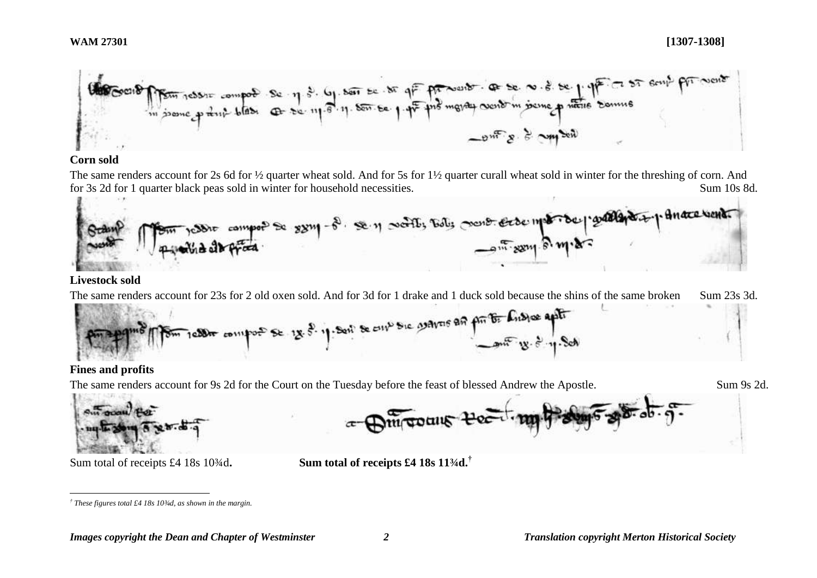

#### **Corn sold**

The same renders account for 2s 6d for ½ quarter wheat sold. And for 5s for 1½ quarter curall wheat sold in winter for the threshing of corn. And for 3s 2d for 1 quarter black peas sold in winter for household necessities. Sum 10s 8d.



#### **Livestock sold**

The same renders account for 23s for 2 old oxen sold. And for 3d for 1 drake and 1 duck sold because the shins of the same broken Sum 23s 3d.



# **Fines and profits**

The same renders account for 9s 2d for the Court on the Tuesday before the feast of blessed Andrew the Apostle. Sum 9s 2d.





Sum total of receipts £4 18s 10¾d**. Sum total of receipts £4 18s 11¾d.†**

 $\overline{a}$ *† These figures total £4 18s 10¾d, as shown in the margin.*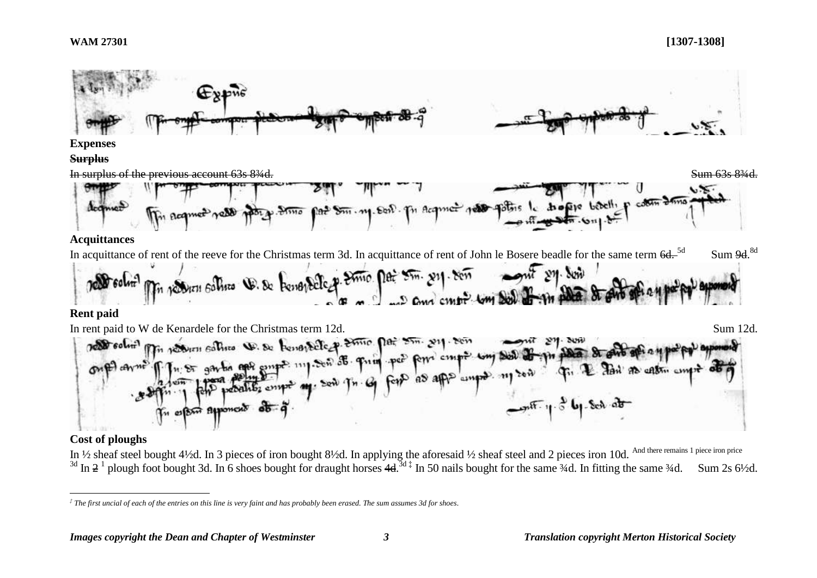#### **WAM 27301 [1307-1308]**



#### **Cost of ploughs**

 $\overline{a}$ 

In  $\frac{1}{2}$  sheaf steel bought 4½d. In 3 pieces of iron bought 8½d. In applying the aforesaid ½ sheaf steel and 2 pieces iron 10d. And there remains 1 piece iron price <sup>3d</sup> In  $2^1$  plough foot bought 3d. In 6 shoes bought for draught horses 4d.<sup>3d‡</sup> In 50 nails bought for the same  $\frac{3}{4}$ d. In fitting the same  $\frac{3}{4}$ d. Sum 2s 6½d.

*<sup>‡</sup> The first uncial of each of the entries on this line is very faint and has probably been erased. The sum assumes 3d for shoes.*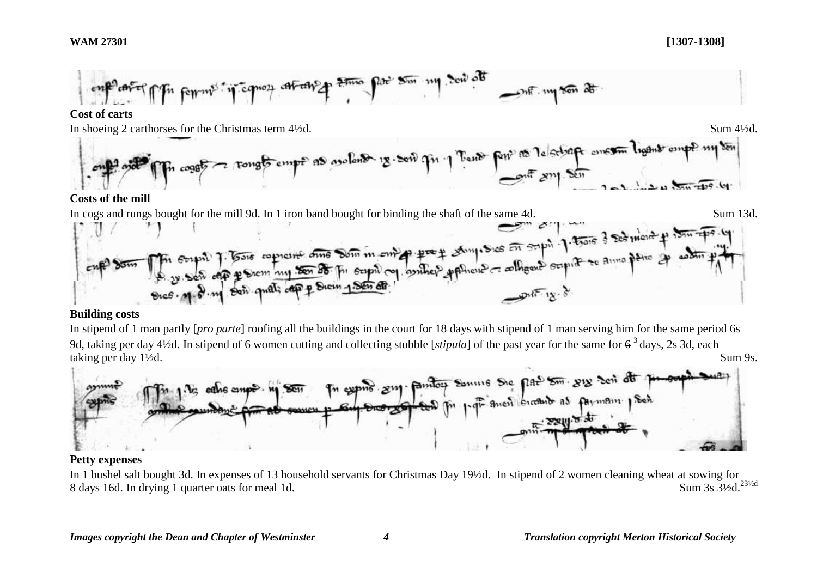#### **WAM 27301 [1307-1308]**



# **Building costs**

In stipend of 1 man partly [*pro parte*] roofing all the buildings in the court for 18 days with stipend of 1 man serving him for the same period 6s 9d, taking per day 4½d. In stipend of 6 women cutting and collecting stubble [*stipula*] of the past year for the same for  $6^3$  days, 2s 3d, each taking per day 1½d. Sum 9s.



#### **Petty expenses**

In 1 bushel salt bought 3d. In expenses of 13 household servants for Christmas Day 19½d. In stipend of 2 women cleaning wheat at sowing for 8 days 16d. In drying 1 quarter oats for meal 1d. Sum-3s-31/<sub>231/2d</sub>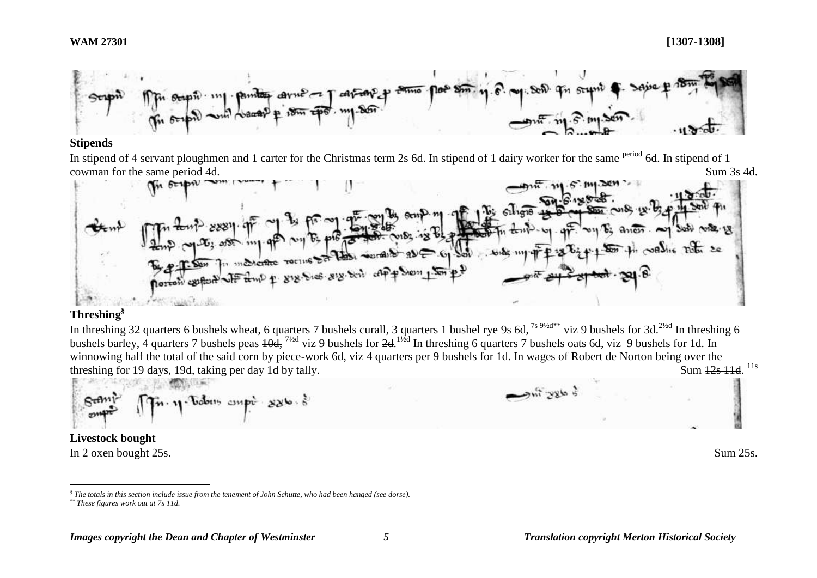

#### **Stipends**

In stipend of 4 servant ploughmen and 1 carter for the Christmas term 2s 6d. In stipend of 1 dairy worker for the same period 6d. In stipend of 1 cowman for the same period 4d. Sum 3s 4d.



#### **Threshing§**

In threshing 32 quarters 6 bushels wheat, 6 quarters 7 bushels curall, 3 quarters 1 bushel rye  $9s$  6d, <sup>7s 9½d\*\*</sup> viz 9 bushels for  $3d$ .  $^{2}$ <sup>2/2d</sup> In threshing 6 bushels barley, 4 quarters 7 bushels peas  $\frac{10d}{d}$ ,  $\frac{7}{2d}$  viz 9 bushels for  $2d$ .  $\frac{1}{2d}$  In threshing 6 quarters 7 bushels oats 6d, viz 9 bushels for 1d. In winnowing half the total of the said corn by piece-work 6d, viz 4 quarters per 9 bushels for 1d. In wages of Robert de Norton being over the threshing for 19 days, 19d, taking per day 1d by tally. Sum 12s 11d. <sup>11s</sup>

$$
\mathbf{S}_{\text{camp}}^{\text{camp}} = \prod_{i=1}^{n} \mathbf{S}_{\text{camp}}^{\text{camp}} \cdot \mathbf{1} \cdot \mathbf{S}_{\text{camp}}^{\text{camp}} \cdot \mathbf{S}_{\text{camp}}^{\text{camp}} \cdot \mathbf{S}_{\text{camp}}^{\text{camp}}
$$

**Livestock bought** In 2 oxen bought 25s. Sum 25s.

 $\overline{a}$ 

*<sup>§</sup> The totals in this section include issue from the tenement of John Schutte, who had been hanged (see dorse). \*\* These figures work out at 7s 11d.*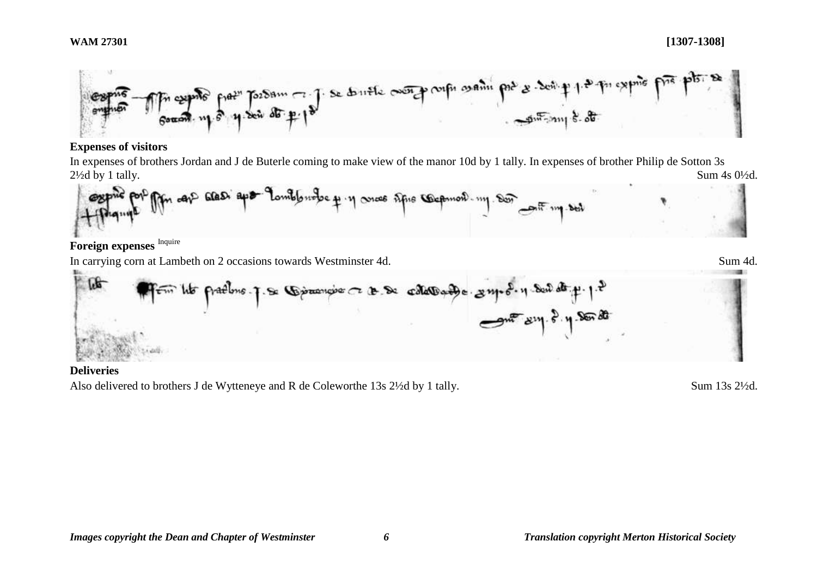

### **Expenses of visitors**

In expenses of brothers Jordan and J de Buterle coming to make view of the manor 10d by 1 tally. In expenses of brother Philip de Sotton 3s  $2\frac{1}{2}$ d by 1 tally. Sum  $4s$   $0\frac{1}{2}d$ .



Foreign expenses Inquire

In carrying corn at Lambeth on 2 occasions towards Westminster 4d. Sum 4d.

$$
\boxed{100}
$$

### **Deliveries**

Also delivered to brothers J de Wytteneye and R de Coleworthe 13s 2½d by 1 tally. Sum 13s 2½d.

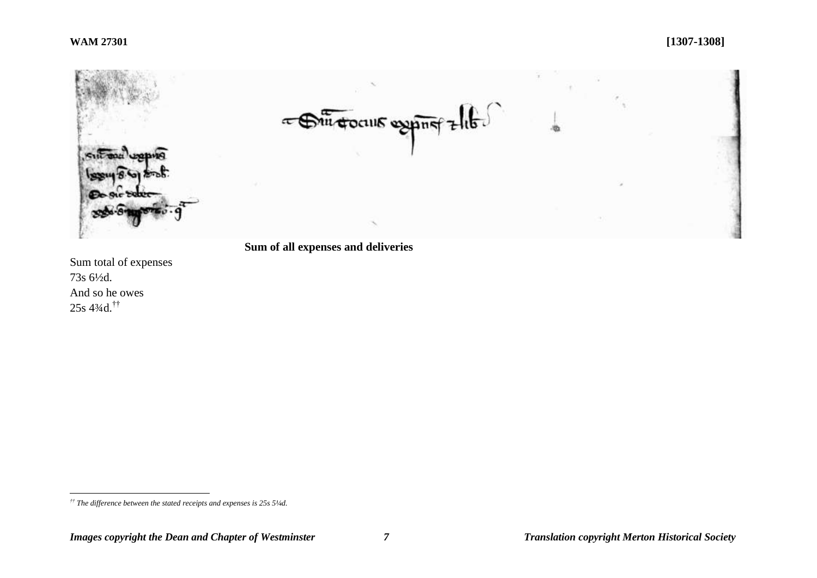

# **Sum of all expenses and deliveries**

Sum total of expenses 73s 6½d. And so he owes 25s 4¾d.††

 $\overline{a}$ *†† The difference between the stated receipts and expenses is 25s 5¼d.*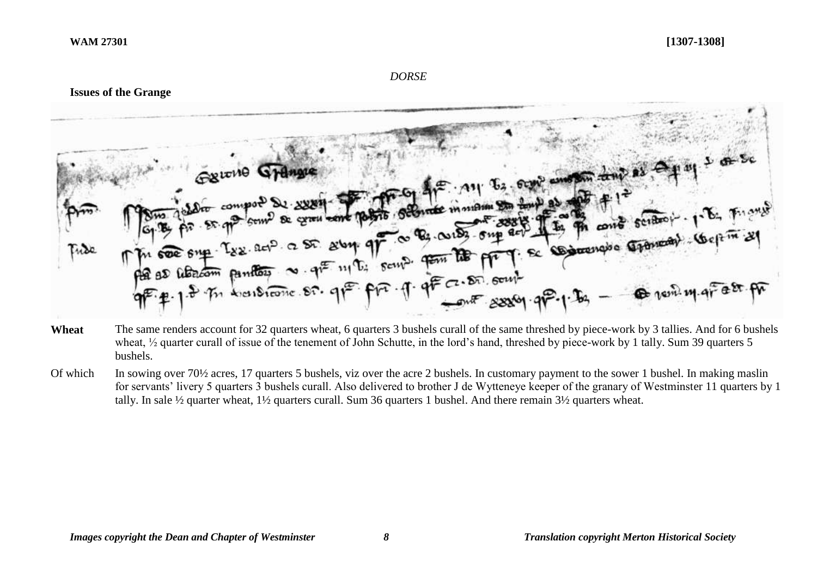#### *DORSE*

#### **Issues of the Grange**



- Wheat The same renders account for 32 quarters wheat, 6 quarters 3 bushels curall of the same threshed by piece-work by 3 tallies. And for 6 bushels wheat,  $\frac{1}{2}$  quarter curall of issue of the tenement of John Schutte, in the lord's hand, threshed by piece-work by 1 tally. Sum 39 quarters 5 bushels.
- Of which In sowing over 70<sup>1/2</sup> acres, 17 quarters 5 bushels, viz over the acre 2 bushels. In customary payment to the sower 1 bushel. In making maslin for servants' livery 5 quarters 3 bushels curall. Also delivered to brother J de Wytteneye keeper of the granary of Westminster 11 quarters by 1 tally. In sale ½ quarter wheat, 1½ quarters curall. Sum 36 quarters 1 bushel. And there remain 3½ quarters wheat.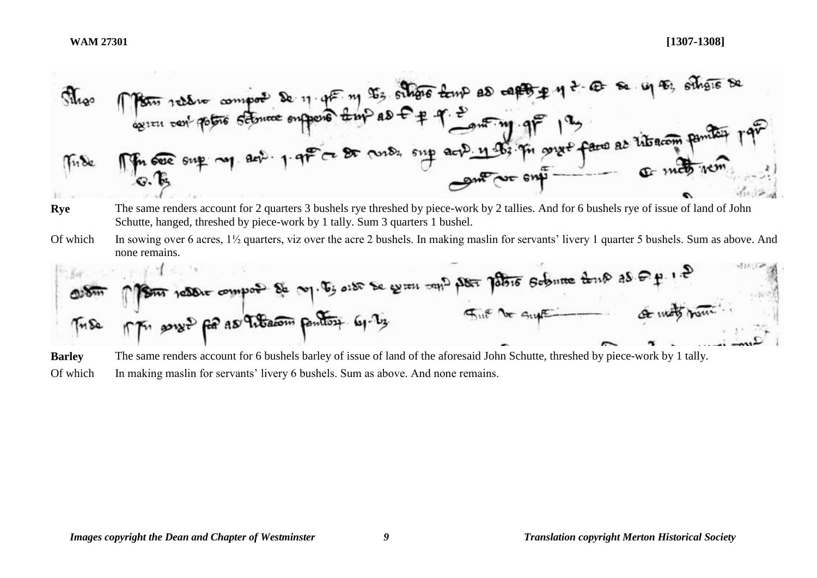**Rye** The same renders account for 2 quarters 3 bushels rye threshed by piece-work by 2 tallies. And for 6 bushels rye of issue of land of John Schutte, hanged, threshed by piece-work by 1 tally. Sum 3 quarters 1 bushel. Of which In sowing over 6 acres, 1½ quarters, viz over the acre 2 bushels. In making maslin for servants' livery 1 quarter 5 bushels. Sum as above. And none remains. 

尘

**Barley** The same renders account for 6 bushels barley of issue of land of the aforesaid John Schutte, threshed by piece-work by 1 tally. Of which In making maslin for servants' livery 6 bushels. Sum as above. And none remains.

 $\sim$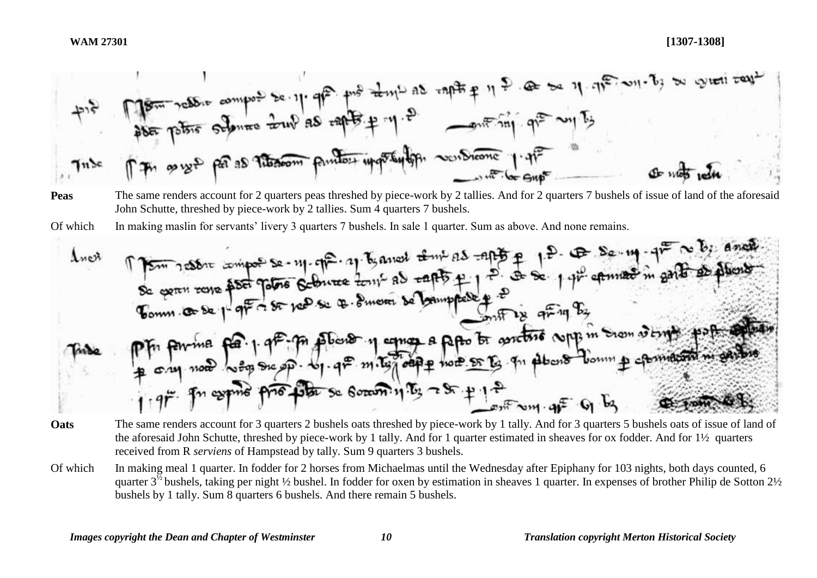$$
+ 12
$$

- **Peas** The same renders account for 2 quarters peas threshed by piece-work by 2 tallies. And for 2 quarters 7 bushels of issue of land of the aforesaid John Schutte, threshed by piece-work by 2 tallies. Sum 4 quarters 7 bushels.
- Of which In making maslin for servants' livery 3 quarters 7 bushels. In sale 1 quarter. Sum as above. And none remains.

- **Oats** The same renders account for 3 quarters 2 bushels oats threshed by piece-work by 1 tally. And for 3 quarters 5 bushels oats of issue of land of the aforesaid John Schutte, threshed by piece-work by 1 tally. And for 1 quarter estimated in sheaves for ox fodder. And for 1½ quarters received from R *serviens* of Hampstead by tally. Sum 9 quarters 3 bushels.
- Of which In making meal 1 quarter. In fodder for 2 horses from Michaelmas until the Wednesday after Epiphany for 103 nights, both days counted, 6 quarter  $3^{\frac{1}{2}}$  bushels, taking per night ½ bushel. In fodder for oxen by estimation in sheaves 1 quarter. In expenses of brother Philip de Sotton 2½ bushels by 1 tally. Sum 8 quarters 6 bushels. And there remain 5 bushels.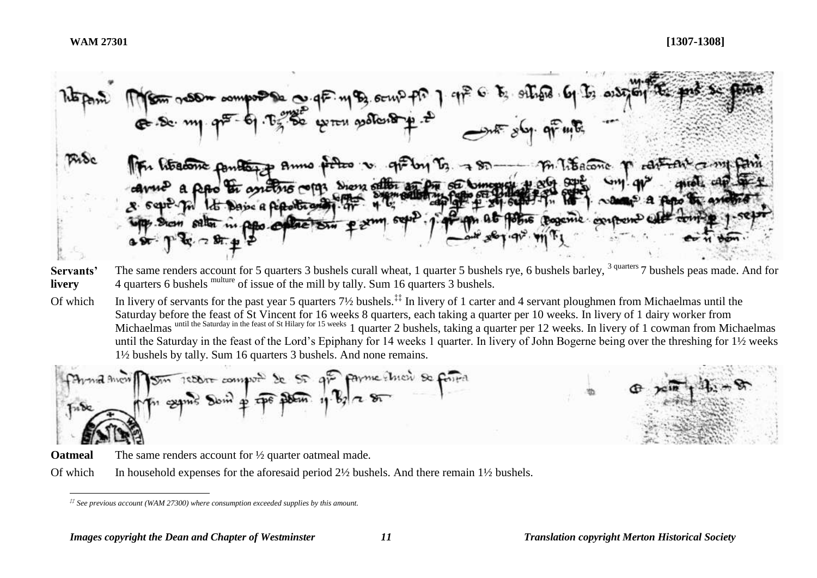$-900$   $m<sub>2</sub>$  $\neg$  Sn Show offlor an one of Comopics  $5042$ **DOM AG HOME BOORING** 

- **Servants' livery** The same renders account for 5 quarters 3 bushels curall wheat, 1 quarter 5 bushels rye, 6 bushels barley, <sup>3 quarters</sup> 7 bushels peas made. And for 4 quarters 6 bushels multure of issue of the mill by tally. Sum 16 quarters 3 bushels.
- Of which In livery of servants for the past year 5 quarters  $7\frac{1}{2}$  bushels.<sup>‡‡</sup> In livery of 1 carter and 4 servant ploughmen from Michaelmas until the Saturday before the feast of St Vincent for 16 weeks 8 quarters, each taking a quarter per 10 weeks. In livery of 1 dairy worker from Michaelmas until the Saturday in the feast of St Hilary for 15 weeks 1 quarter 2 bushels, taking a quarter per 12 weeks. In livery of 1 cowman from Michaelmas until the Saturday in the feast of the Lord's Epiphany for 14 weeks 1 quarter. In livery of John Bogerne being over the threshing for 1½ weeks 1½ bushels by tally. Sum 16 quarters 3 bushels. And none remains.

payme throw so forred report company de St av



**Oatmeal** The same renders account for  $\frac{1}{2}$  quarter oatmeal made.

Of which In household expenses for the aforesaid period  $2\frac{1}{2}$  bushels. And there remain  $1\frac{1}{2}$  bushels.

 $\overline{a}$ *‡‡ See previous account (WAM 27300) where consumption exceeded supplies by this amount.*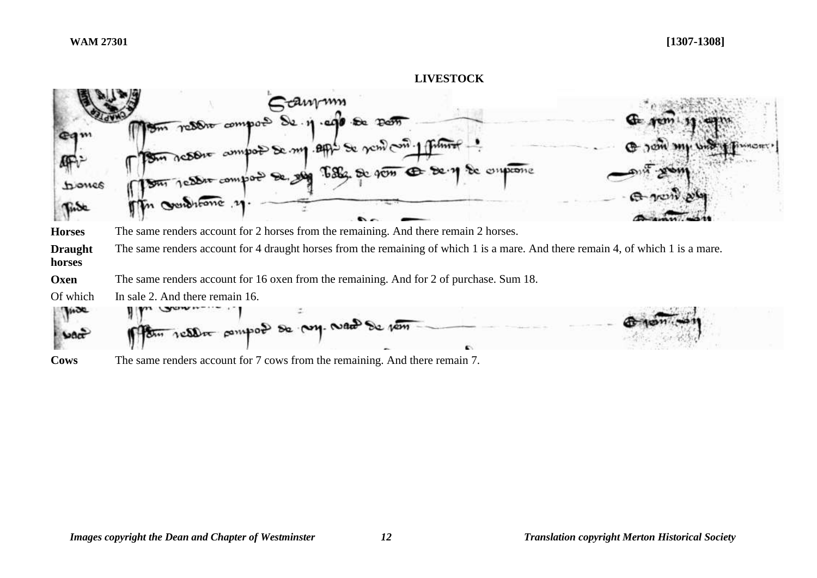# **LIVESTOCK** *Fanym* resort compon  $P<sub>cor</sub>$ œо  $ABP$  Se  $\gamma$ ch  $\geq$   $\sim$ enprome biones Fise **Horses** The same renders account for 2 horses from the remaining. And there remain 2 horses. **Draught**  The same renders account for 4 draught horses from the remaining of which 1 is a mare. And there remain 4, of which 1 is a mare. **horses Oxen** The same renders account for 16 oxen from the remaining. And for 2 of purchase. Sum 18. Of which In sale 2. And there remain 16. **WOOD** tu resour pompoé de voy. Naces

**Cows** The same renders account for 7 cows from the remaining. And there remain 7.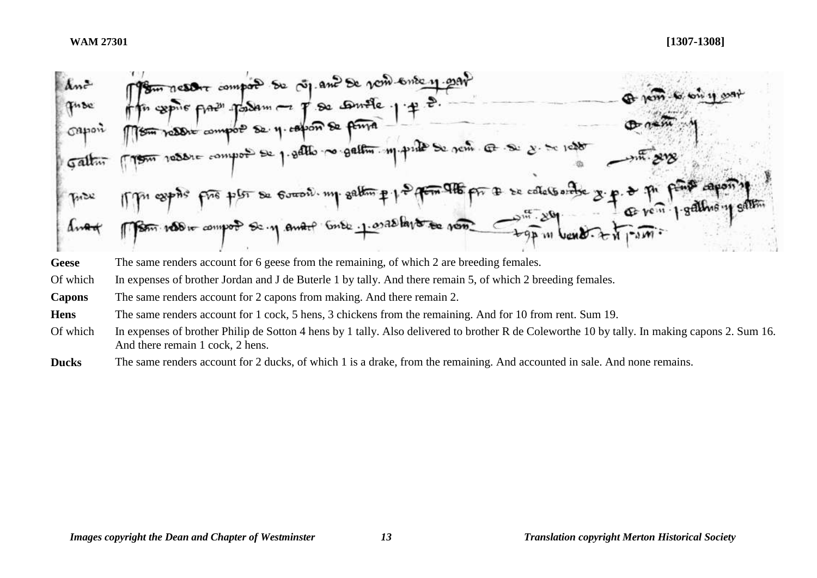

- Geese The same renders account for 6 geese from the remaining, of which 2 are breeding females.
- Of which In expenses of brother Jordan and J de Buterle 1 by tally. And there remain 5, of which 2 breeding females.
- **Capons** The same renders account for 2 capons from making. And there remain 2.
- **Hens** The same renders account for 1 cock, 5 hens, 3 chickens from the remaining. And for 10 from rent. Sum 19.
- Of which In expenses of brother Philip de Sotton 4 hens by 1 tally. Also delivered to brother R de Coleworthe 10 by tally. In making capons 2. Sum 16. And there remain 1 cock, 2 hens.
- **Ducks** The same renders account for 2 ducks, of which 1 is a drake, from the remaining. And accounted in sale. And none remains.